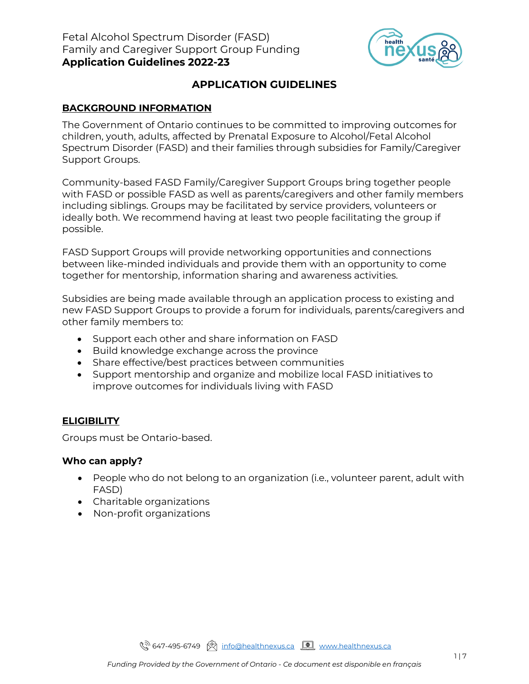

# **APPLICATION GUIDELINES**

### **BACKGROUND INFORMATION**

The Government of Ontario continues to be committed to improving outcomes for children, youth, adults, affected by Prenatal Exposure to Alcohol/Fetal Alcohol Spectrum Disorder (FASD) and their families through subsidies for Family/Caregiver Support Groups.

Community-based FASD Family/Caregiver Support Groups bring together people with FASD or possible FASD as well as parents/caregivers and other family members including siblings. Groups may be facilitated by service providers, volunteers or ideally both. We recommend having at least two people facilitating the group if possible.

FASD Support Groups will provide networking opportunities and connections between like-minded individuals and provide them with an opportunity to come together for mentorship, information sharing and awareness activities.

Subsidies are being made available through an application process to existing and new FASD Support Groups to provide a forum for individuals, parents/caregivers and other family members to:

- Support each other and share information on FASD
- Build knowledge exchange across the province
- Share effective/best practices between communities
- Support mentorship and organize and mobilize local FASD initiatives to improve outcomes for individuals living with FASD

#### **ELIGIBILITY**

Groups must be Ontario-based.

#### **Who can apply?**

- People who do not belong to an organization (i.e., volunteer parent, adult with FASD)
- Charitable organizations
- Non-profit organizations

९<sup>२ 647</sup>-495-6749 (श्री [info@healthnexus.ca](mailto:info@healthnexus.ca) <u>[ त्या</u> [www.healthnexus.ca](http://www.healthnexus.ca/)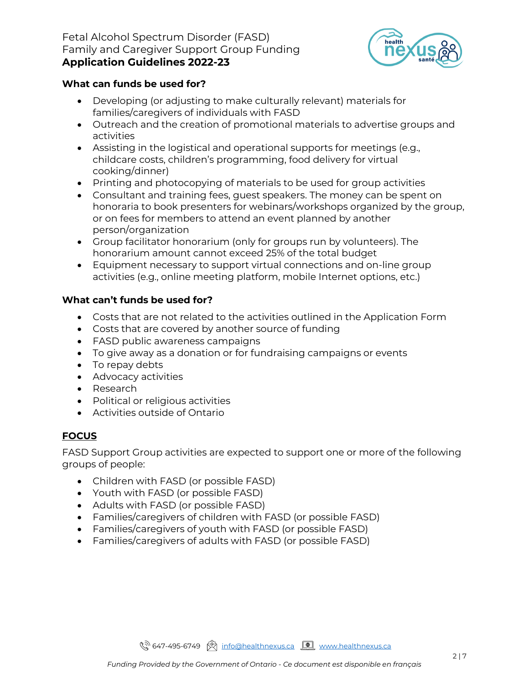### Fetal Alcohol Spectrum Disorder (FASD) Family and Caregiver Support Group Funding **Application Guidelines 2022-23**



### **What can funds be used for?**

- Developing (or adjusting to make culturally relevant) materials for families/caregivers of individuals with FASD
- Outreach and the creation of promotional materials to advertise groups and activities
- Assisting in the logistical and operational supports for meetings (e.g., childcare costs, children's programming, food delivery for virtual cooking/dinner)
- Printing and photocopying of materials to be used for group activities
- Consultant and training fees, guest speakers. The money can be spent on honoraria to book presenters for webinars/workshops organized by the group, or on fees for members to attend an event planned by another person/organization
- Group facilitator honorarium (only for groups run by volunteers). The honorarium amount cannot exceed 25% of the total budget
- Equipment necessary to support virtual connections and on-line group activities (e.g., online meeting platform, mobile Internet options, etc.)

# **What can't funds be used for?**

- Costs that are not related to the activities outlined in the Application Form
- Costs that are covered by another source of funding
- FASD public awareness campaigns
- To give away as a donation or for fundraising campaigns or events
- To repay debts
- Advocacy activities
- Research
- Political or religious activities
- Activities outside of Ontario

# **FOCUS**

FASD Support Group activities are expected to support one or more of the following groups of people:

- Children with FASD (or possible FASD)
- Youth with FASD (or possible FASD)
- Adults with FASD (or possible FASD)
- Families/caregivers of children with FASD (or possible FASD)
- Families/caregivers of youth with FASD (or possible FASD)
- Families/caregivers of adults with FASD (or possible FASD)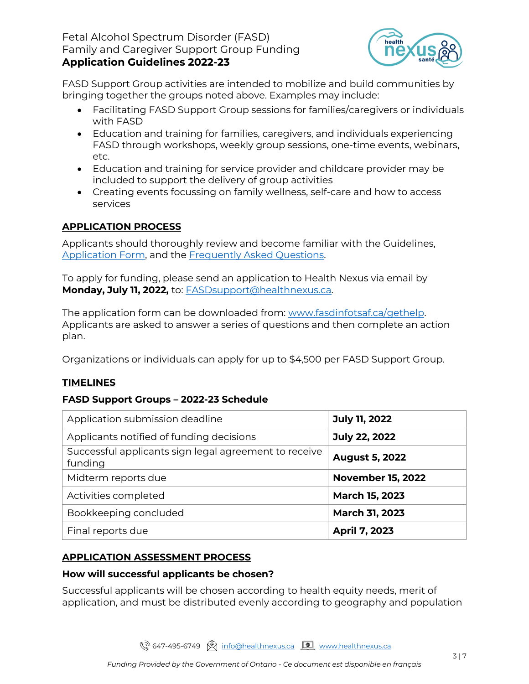### Fetal Alcohol Spectrum Disorder (FASD) Family and Caregiver Support Group Funding **Application Guidelines 2022-23**



FASD Support Group activities are intended to mobilize and build communities by bringing together the groups noted above. Examples may include:

- Facilitating FASD Support Group sessions for families/caregivers or individuals with FASD
- Education and training for families, caregivers, and individuals experiencing FASD through workshops, weekly group sessions, one-time events, webinars, etc.
- Education and training for service provider and childcare provider may be included to support the delivery of group activities
- Creating events focussing on family wellness, self-care and how to access services

# **APPLICATION PROCESS**

Applicants should thoroughly review and become familiar with the Guidelines, [Application Form,](https://fasdinfotsaf.ca/wp-content/uploads/2022/06/FASDSubsidy_Application_2022-23.pdf) and the [Frequently Asked Questions.](https://fasdinfotsaf.ca/wp-content/uploads/2022/06/FASDSubsidy_FAQs_2022-23.pdf)

To apply for funding, please send an application to Health Nexus via email by **Monday, July 11, 2022,** to: [FASDsupport@healthnexus.ca.](mailto:FASDsupport@healthnexus.ca)

The application form can be downloaded from: [www.fasdinfotsaf.ca/gethelp.](http://www.fasdinfotsaf.ca/gethelp) Applicants are asked to answer a series of questions and then complete an action plan.

Organizations or individuals can apply for up to \$4,500 per FASD Support Group.

# **TIMELINES**

#### **FASD Support Groups – 2022-23 Schedule**

| Application submission deadline                                  | <b>July 11, 2022</b>     |  |
|------------------------------------------------------------------|--------------------------|--|
| Applicants notified of funding decisions                         | July 22, 2022            |  |
| Successful applicants sign legal agreement to receive<br>funding | <b>August 5, 2022</b>    |  |
| Midterm reports due                                              | <b>November 15, 2022</b> |  |
| Activities completed                                             | <b>March 15, 2023</b>    |  |
| Bookkeeping concluded                                            | March 31, 2023           |  |
| Final reports due                                                | April 7, 2023            |  |

# **APPLICATION ASSESSMENT PROCESS**

#### **How will successful applicants be chosen?**

Successful applicants will be chosen according to health equity needs, merit of application, and must be distributed evenly according to geography and population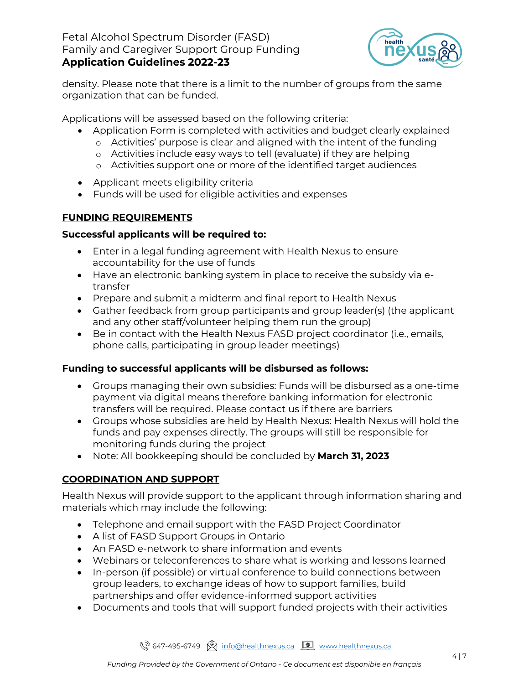### Fetal Alcohol Spectrum Disorder (FASD) Family and Caregiver Support Group Funding **Application Guidelines 2022-23**



density. Please note that there is a limit to the number of groups from the same organization that can be funded.

Applications will be assessed based on the following criteria:

- Application Form is completed with activities and budget clearly explained
	- o Activities' purpose is clear and aligned with the intent of the funding
	- o Activities include easy ways to tell (evaluate) if they are helping
	- o Activities support one or more of the identified target audiences
- Applicant meets eligibility criteria
- Funds will be used for eligible activities and expenses

# **FUNDING REQUIREMENTS**

#### **Successful applicants will be required to:**

- Enter in a legal funding agreement with Health Nexus to ensure accountability for the use of funds
- Have an electronic banking system in place to receive the subsidy via etransfer
- Prepare and submit a midterm and final report to Health Nexus
- Gather feedback from group participants and group leader(s) (the applicant and any other staff/volunteer helping them run the group)
- Be in contact with the Health Nexus FASD project coordinator (i.e., emails, phone calls, participating in group leader meetings)

# **Funding to successful applicants will be disbursed as follows:**

- Groups managing their own subsidies: Funds will be disbursed as a one-time payment via digital means therefore banking information for electronic transfers will be required. Please contact us if there are barriers
- Groups whose subsidies are held by Health Nexus: Health Nexus will hold the funds and pay expenses directly. The groups will still be responsible for monitoring funds during the project
- Note: All bookkeeping should be concluded by **March 31, 2023**

# **COORDINATION AND SUPPORT**

Health Nexus will provide support to the applicant through information sharing and materials which may include the following:

- Telephone and email support with the FASD Project Coordinator
- A list of FASD Support Groups in Ontario
- An FASD e-network to share information and events
- Webinars or teleconferences to share what is working and lessons learned
- In-person (if possible) or virtual conference to build connections between group leaders, to exchange ideas of how to support families, build partnerships and offer evidence-informed support activities
- Documents and tools that will support funded projects with their activities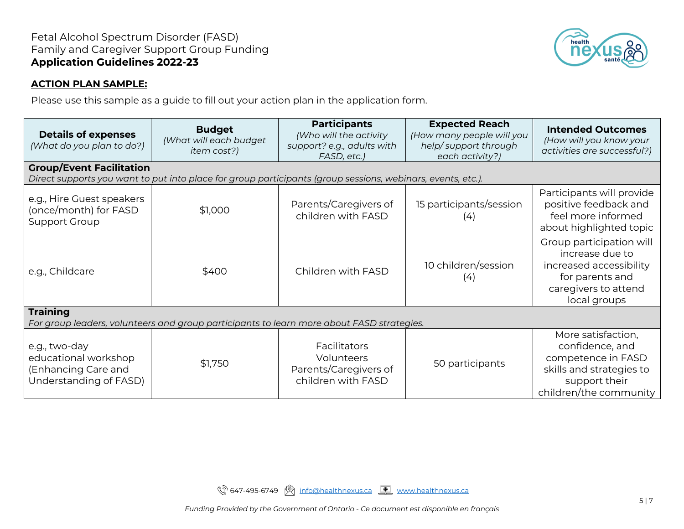

#### **ACTION PLAN SAMPLE:**

Please use this sample as a guide to fill out your action plan in the application form.

| <b>Details of expenses</b><br>(What do you plan to do?)                                                                                        | <b>Budget</b><br>(What will each budget<br>item cost?) | <b>Participants</b><br>(Who will the activity<br>support? e.g., adults with<br>FASD, etc.) | <b>Expected Reach</b><br>(How many people will you<br>help/support through<br>each activity?) | <b>Intended Outcomes</b><br>(How will you know your<br>activities are successful?)                                                 |  |  |  |
|------------------------------------------------------------------------------------------------------------------------------------------------|--------------------------------------------------------|--------------------------------------------------------------------------------------------|-----------------------------------------------------------------------------------------------|------------------------------------------------------------------------------------------------------------------------------------|--|--|--|
| <b>Group/Event Facilitation</b><br>Direct supports you want to put into place for group participants (group sessions, webinars, events, etc.). |                                                        |                                                                                            |                                                                                               |                                                                                                                                    |  |  |  |
| e.g., Hire Guest speakers<br>(once/month) for FASD<br><b>Support Group</b>                                                                     | \$1,000                                                | Parents/Caregivers of<br>children with FASD                                                | 15 participants/session<br>(4)                                                                | Participants will provide<br>positive feedback and<br>feel more informed<br>about highlighted topic                                |  |  |  |
| e.g., Childcare                                                                                                                                | \$400                                                  | Children with FASD                                                                         | 10 children/session<br>(4)                                                                    | Group participation will<br>increase due to<br>increased accessibility<br>for parents and<br>caregivers to attend<br>local groups  |  |  |  |
| <b>Training</b><br>For group leaders, volunteers and group participants to learn more about FASD strategies.                                   |                                                        |                                                                                            |                                                                                               |                                                                                                                                    |  |  |  |
| e.g., two-day<br>educational workshop<br>(Enhancing Care and<br>Understanding of FASD)                                                         | \$1,750                                                | <b>Facilitators</b><br>Volunteers<br>Parents/Caregivers of<br>children with FASD           | 50 participants                                                                               | More satisfaction,<br>confidence, and<br>competence in FASD<br>skills and strategies to<br>support their<br>children/the community |  |  |  |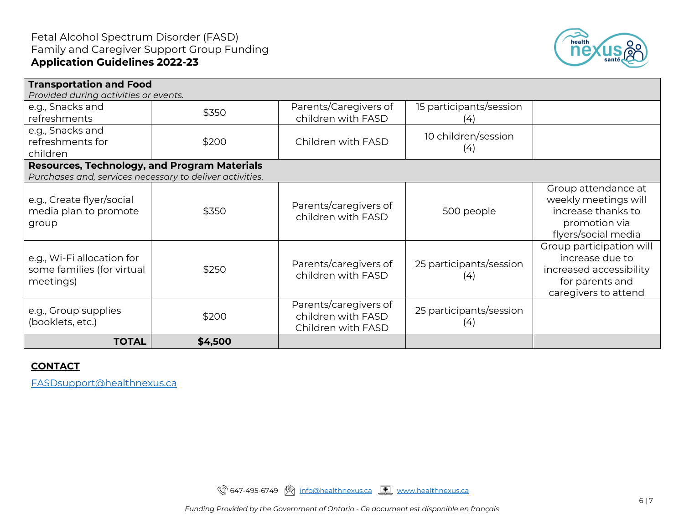

| <b>Transportation and Food</b><br>Provided during activities or events. |         |                                                                   |                                |                                                                                                                   |  |  |
|-------------------------------------------------------------------------|---------|-------------------------------------------------------------------|--------------------------------|-------------------------------------------------------------------------------------------------------------------|--|--|
| e.g., Snacks and<br>refreshments                                        | \$350   | Parents/Caregivers of<br>children with FASD                       | 15 participants/session<br>(4) |                                                                                                                   |  |  |
| e.g., Snacks and<br>refreshments for<br>children                        | \$200   | Children with FASD                                                | 10 children/session<br>(4)     |                                                                                                                   |  |  |
| <b>Resources, Technology, and Program Materials</b>                     |         |                                                                   |                                |                                                                                                                   |  |  |
| Purchases and, services necessary to deliver activities.                |         |                                                                   |                                |                                                                                                                   |  |  |
| e.g., Create flyer/social<br>media plan to promote<br>group             | \$350   | Parents/caregivers of<br>children with FASD                       | 500 people                     | Group attendance at<br>weekly meetings will<br>increase thanks to<br>promotion via<br>flyers/social media         |  |  |
| e.g., Wi-Fi allocation for<br>some families (for virtual<br>meetings)   | \$250   | Parents/caregivers of<br>children with FASD                       | 25 participants/session<br>(4) | Group participation will<br>increase due to<br>increased accessibility<br>for parents and<br>caregivers to attend |  |  |
| e.g., Group supplies<br>(booklets, etc.)                                | \$200   | Parents/caregivers of<br>children with FASD<br>Children with FASD | 25 participants/session<br>(4) |                                                                                                                   |  |  |
| <b>TOTAL</b>                                                            | \$4,500 |                                                                   |                                |                                                                                                                   |  |  |

### **CONTACT**

[FASDsupport@healthnexus.ca](mailto:FASDsupport@healthnexus.ca)

९२ 647-495-6749 ( [info@healthnexus.ca](mailto:info@healthnexus.ca) <u>[ [www.healthnexus.ca](http://www.healthnexus.ca/)</u>